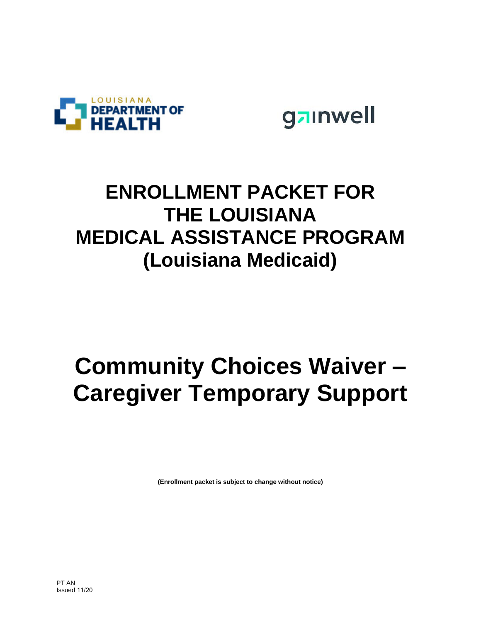



#### **ENROLLMENT PACKET FOR THE LOUISIANA MEDICAL ASSISTANCE PROGRAM (Louisiana Medicaid)**

### **Community Choices Waiver – Caregiver Temporary Support**

**(Enrollment packet is subject to change without notice)**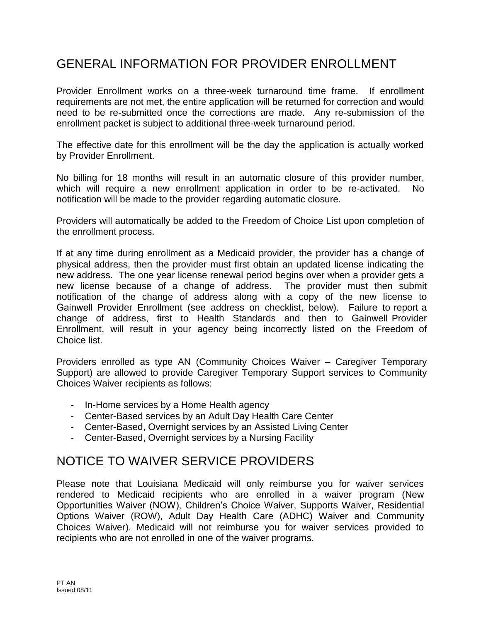#### GENERAL INFORMATION FOR PROVIDER ENROLLMENT

Provider Enrollment works on a three-week turnaround time frame. If enrollment requirements are not met, the entire application will be returned for correction and would need to be re-submitted once the corrections are made. Any re-submission of the enrollment packet is subject to additional three-week turnaround period.

The effective date for this enrollment will be the day the application is actually worked by Provider Enrollment.

No billing for 18 months will result in an automatic closure of this provider number, which will require a new enrollment application in order to be re-activated. No notification will be made to the provider regarding automatic closure.

Providers will automatically be added to the Freedom of Choice List upon completion of the enrollment process.

If at any time during enrollment as a Medicaid provider, the provider has a change of physical address, then the provider must first obtain an updated license indicating the new address. The one year license renewal period begins over when a provider gets a new license because of a change of address. The provider must then submit notification of the change of address along with a copy of the new license to Gainwell Provider Enrollment (see address on checklist, below). Failure to report a change of address, first to Health Standards and then to Gainwell Provider Enrollment, will result in your agency being incorrectly listed on the Freedom of Choice list.

Providers enrolled as type AN (Community Choices Waiver – Caregiver Temporary Support) are allowed to provide Caregiver Temporary Support services to Community Choices Waiver recipients as follows:

- In-Home services by a Home Health agency
- Center-Based services by an Adult Day Health Care Center
- Center-Based, Overnight services by an Assisted Living Center
- Center-Based, Overnight services by a Nursing Facility

#### NOTICE TO WAIVER SERVICE PROVIDERS

Please note that Louisiana Medicaid will only reimburse you for waiver services rendered to Medicaid recipients who are enrolled in a waiver program (New Opportunities Waiver (NOW), Children's Choice Waiver, Supports Waiver, Residential Options Waiver (ROW), Adult Day Health Care (ADHC) Waiver and Community Choices Waiver). Medicaid will not reimburse you for waiver services provided to recipients who are not enrolled in one of the waiver programs.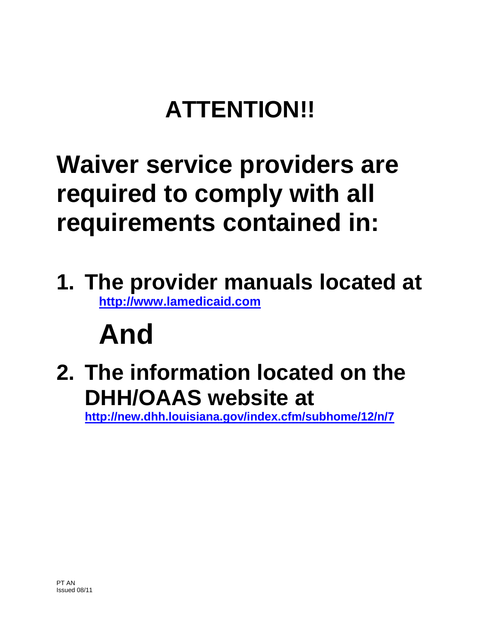## **ATTENTION!!**

### **Waiver service providers are required to comply with all requirements contained in:**

**1. The provider manuals located at [http://www.lamedicaid.com](http://www.lamedicaid.com/)**

# **And**

**2. The information located on the DHH/OAAS website at** 

**<http://new.dhh.louisiana.gov/index.cfm/subhome/12/n/7>**